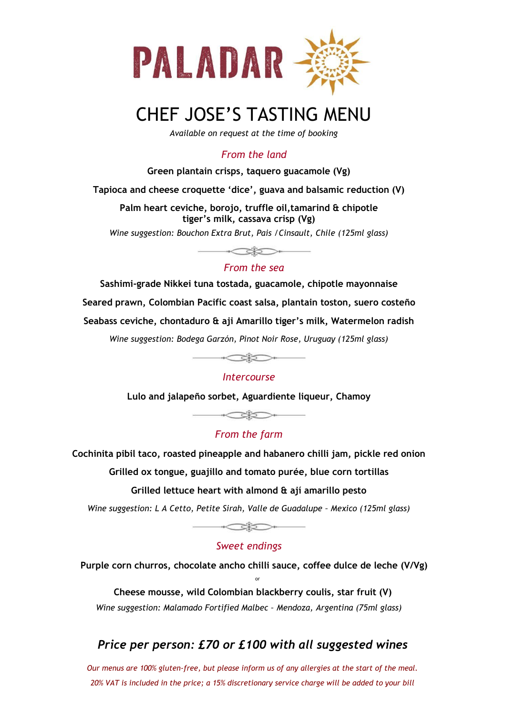

# CHEF JOSE'S TASTING MENU

*Available on request at the time of booking*

## *From the land*

#### **Green plantain crisps, taquero guacamole (Vg)**

**Tapioca and cheese croquette 'dice', guava and balsamic reduction (V)**

**Palm heart ceviche, borojo, truffle oil,tamarind & chipotle tiger's milk, cassava crisp (Vg)**

*Wine suggestion: Bouchon Extra Brut, Pais /Cinsault, Chile (125ml glass)*

### *From the sea*

 $\begin{picture}(20,20) \put(0,0){\line(1,0){10}} \put(15,0){\line(1,0){10}} \put(15,0){\line(1,0){10}} \put(15,0){\line(1,0){10}} \put(15,0){\line(1,0){10}} \put(15,0){\line(1,0){10}} \put(15,0){\line(1,0){10}} \put(15,0){\line(1,0){10}} \put(15,0){\line(1,0){10}} \put(15,0){\line(1,0){10}} \put(15,0){\line(1,0){10}} \put(15,0){\line(1$ 

**Sashimi-grade Nikkei tuna tostada, guacamole, chipotle mayonnaise Seared prawn, Colombian Pacific coast salsa, plantain toston, suero costeño Seabass ceviche, chontaduro & aji Amarillo tiger's milk, Watermelon radish**

*Wine suggestion: Bodega Garzón, Pinot Noir Rose, Uruguay (125ml glass)*

 $\begin{picture}(20,20) \put(0,0){\line(1,0){10}} \put(15,0){\line(1,0){10}} \put(15,0){\line(1,0){10}} \put(15,0){\line(1,0){10}} \put(15,0){\line(1,0){10}} \put(15,0){\line(1,0){10}} \put(15,0){\line(1,0){10}} \put(15,0){\line(1,0){10}} \put(15,0){\line(1,0){10}} \put(15,0){\line(1,0){10}} \put(15,0){\line(1,0){10}} \put(15,0){\line(1$ 

#### *Intercourse*

**Lulo and jalapeño sorbet, Aguardiente liqueur, Chamoy**

## *From the farm*

**Cochinita pibil taco, roasted pineapple and habanero chilli jam, pickle red onion**

**Grilled ox tongue, guajillo and tomato purée, blue corn tortillas**

#### **Grilled lettuce heart with almond & ají amarillo pesto**

*Wine suggestion: L A Cetto, Petite Sirah, Valle de Guadalupe – Mexico (125ml glass)*



## *Sweet endings*

**Purple corn churros, chocolate ancho chilli sauce, coffee dulce de leche (V/Vg)** or

**Cheese mousse, wild Colombian blackberry coulis, star fruit (V)** *Wine suggestion: Malamado Fortified Malbec – Mendoza, Argentina (75ml glass)*

# *Price per person: £70 or £100 with all suggested wines*

*Our menus are 100% gluten-free, but please inform us of any allergies at the start of the meal. 20% VAT is included in the price; a 15% discretionary service charge will be added to your bill*